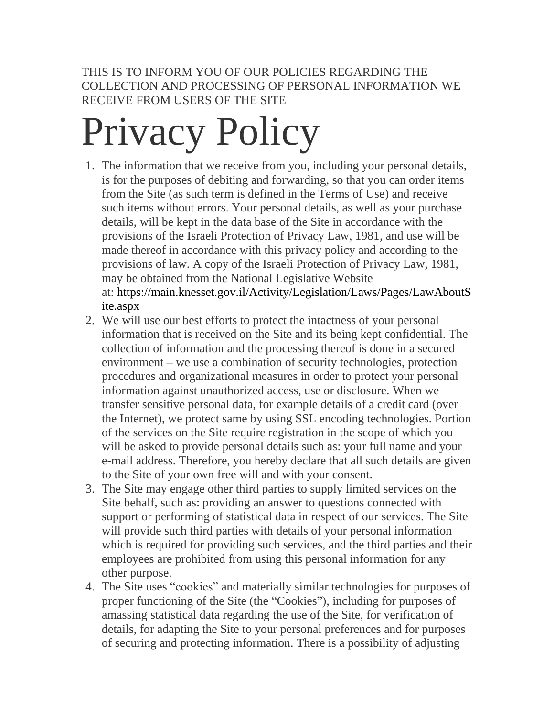THIS IS TO INFORM YOU OF OUR POLICIES REGARDING THE COLLECTION AND PROCESSING OF PERSONAL INFORMATION WE RECEIVE FROM USERS OF THE SITE

## Privacy Policy

- 1. The information that we receive from you, including your personal details, is for the purposes of debiting and forwarding, so that you can order items from the Site (as such term is defined in the Terms of Use) and receive such items without errors. Your personal details, as well as your purchase details, will be kept in the data base of the Site in accordance with the provisions of the Israeli Protection of Privacy Law, 1981, and use will be made thereof in accordance with this privacy policy and according to the provisions of law. A copy of the Israeli Protection of Privacy Law, 1981, may be obtained from the National Legislative Website at: [https://main.knesset.gov.il/Activity/Legislation/Laws/Pages/LawAboutS](https://main.knesset.gov.il/Activity/Legislation/Laws/Pages/LawAboutSite.aspx) [ite.aspx](https://main.knesset.gov.il/Activity/Legislation/Laws/Pages/LawAboutSite.aspx)
- 2. We will use our best efforts to protect the intactness of your personal information that is received on the Site and its being kept confidential. The collection of information and the processing thereof is done in a secured environment – we use a combination of security technologies, protection procedures and organizational measures in order to protect your personal information against unauthorized access, use or disclosure. When we transfer sensitive personal data, for example details of a credit card (over the Internet), we protect same by using SSL encoding technologies. Portion of the services on the Site require registration in the scope of which you will be asked to provide personal details such as: your full name and your e-mail address. Therefore, you hereby declare that all such details are given to the Site of your own free will and with your consent.
- 3. The Site may engage other third parties to supply limited services on the Site behalf, such as: providing an answer to questions connected with support or performing of statistical data in respect of our services. The Site will provide such third parties with details of your personal information which is required for providing such services, and the third parties and their employees are prohibited from using this personal information for any other purpose.
- 4. The Site uses "cookies" and materially similar technologies for purposes of proper functioning of the Site (the "Cookies"), including for purposes of amassing statistical data regarding the use of the Site, for verification of details, for adapting the Site to your personal preferences and for purposes of securing and protecting information. There is a possibility of adjusting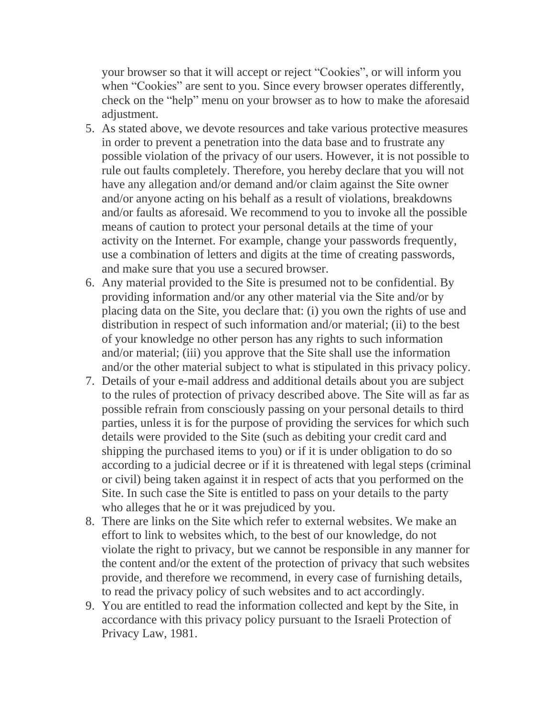your browser so that it will accept or reject "Cookies", or will inform you when "Cookies" are sent to you. Since every browser operates differently, check on the "help" menu on your browser as to how to make the aforesaid adjustment.

- 5. As stated above, we devote resources and take various protective measures in order to prevent a penetration into the data base and to frustrate any possible violation of the privacy of our users. However, it is not possible to rule out faults completely. Therefore, you hereby declare that you will not have any allegation and/or demand and/or claim against the Site owner and/or anyone acting on his behalf as a result of violations, breakdowns and/or faults as aforesaid. We recommend to you to invoke all the possible means of caution to protect your personal details at the time of your activity on the Internet. For example, change your passwords frequently, use a combination of letters and digits at the time of creating passwords, and make sure that you use a secured browser.
- 6. Any material provided to the Site is presumed not to be confidential. By providing information and/or any other material via the Site and/or by placing data on the Site, you declare that: (i) you own the rights of use and distribution in respect of such information and/or material; (ii) to the best of your knowledge no other person has any rights to such information and/or material; (iii) you approve that the Site shall use the information and/or the other material subject to what is stipulated in this privacy policy.
- 7. Details of your e-mail address and additional details about you are subject to the rules of protection of privacy described above. The Site will as far as possible refrain from consciously passing on your personal details to third parties, unless it is for the purpose of providing the services for which such details were provided to the Site (such as debiting your credit card and shipping the purchased items to you) or if it is under obligation to do so according to a judicial decree or if it is threatened with legal steps (criminal or civil) being taken against it in respect of acts that you performed on the Site. In such case the Site is entitled to pass on your details to the party who alleges that he or it was prejudiced by you.
- 8. There are links on the Site which refer to external websites. We make an effort to link to websites which, to the best of our knowledge, do not violate the right to privacy, but we cannot be responsible in any manner for the content and/or the extent of the protection of privacy that such websites provide, and therefore we recommend, in every case of furnishing details, to read the privacy policy of such websites and to act accordingly.
- 9. You are entitled to read the information collected and kept by the Site, in accordance with this privacy policy pursuant to the Israeli Protection of Privacy Law, 1981.